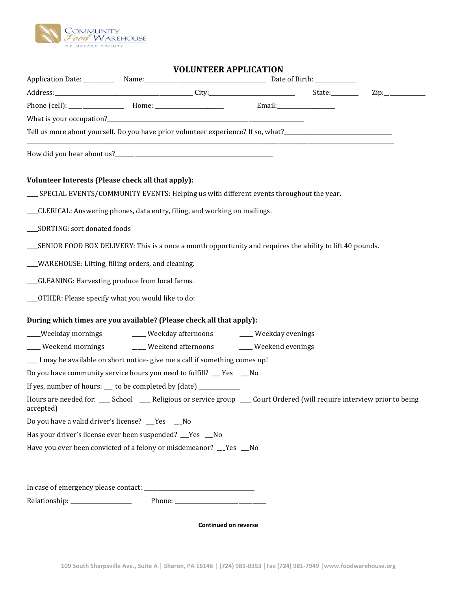

## **VOLUNTEER APPLICATION**

|                                                                                                                                        |                                                 |  |  | $\mathsf{Zip:}\_\_\_\_\_\_\_\_\_\$ |
|----------------------------------------------------------------------------------------------------------------------------------------|-------------------------------------------------|--|--|------------------------------------|
|                                                                                                                                        |                                                 |  |  |                                    |
|                                                                                                                                        |                                                 |  |  |                                    |
| Tell us more about yourself. Do you have prior volunteer experience? If so, what?_____________________________                         |                                                 |  |  |                                    |
|                                                                                                                                        |                                                 |  |  |                                    |
| Volunteer Interests (Please check all that apply):                                                                                     |                                                 |  |  |                                    |
| __ SPECIAL EVENTS/COMMUNITY EVENTS: Helping us with different events throughout the year.                                              |                                                 |  |  |                                    |
| __CLERICAL: Answering phones, data entry, filing, and working on mailings.                                                             |                                                 |  |  |                                    |
| ___SORTING: sort donated foods                                                                                                         |                                                 |  |  |                                    |
|                                                                                                                                        |                                                 |  |  |                                    |
| __WAREHOUSE: Lifting, filling orders, and cleaning.                                                                                    |                                                 |  |  |                                    |
| __GLEANING: Harvesting produce from local farms.                                                                                       |                                                 |  |  |                                    |
| ___OTHER: Please specify what you would like to do:                                                                                    |                                                 |  |  |                                    |
| During which times are you available? (Please check all that apply):                                                                   |                                                 |  |  |                                    |
| ___Weekday mornings                                                                                                                    | ____ Weekday afternoons ______ Weekday evenings |  |  |                                    |
| ___ Weekend mornings _____ Weekend afternoons ____ Weekend evenings                                                                    |                                                 |  |  |                                    |
| __ I may be available on short notice- give me a call if something comes up!                                                           |                                                 |  |  |                                    |
| Do you have community service hours you need to fulfill? __ Yes __No                                                                   |                                                 |  |  |                                    |
| If yes, number of hours: __ to be completed by (date) ___________                                                                      |                                                 |  |  |                                    |
| Hours are needed for: ___ School ____ Religious or service group ___ Court Ordered (will require interview prior to being<br>accepted) |                                                 |  |  |                                    |
| Do you have a valid driver's license? __Yes __No                                                                                       |                                                 |  |  |                                    |
| Has your driver's license ever been suspended? __Yes __No                                                                              |                                                 |  |  |                                    |
| Have you ever been convicted of a felony or misdemeanor? __Yes __No                                                                    |                                                 |  |  |                                    |
|                                                                                                                                        |                                                 |  |  |                                    |
|                                                                                                                                        |                                                 |  |  |                                    |

Relationship: \_\_\_\_\_\_\_\_\_\_\_\_\_\_\_\_\_\_\_\_\_\_ Phone: \_\_\_\_\_\_\_\_\_\_\_\_\_\_\_\_\_\_\_\_\_\_\_\_\_\_\_\_\_\_\_\_\_

**Continued on reverse**